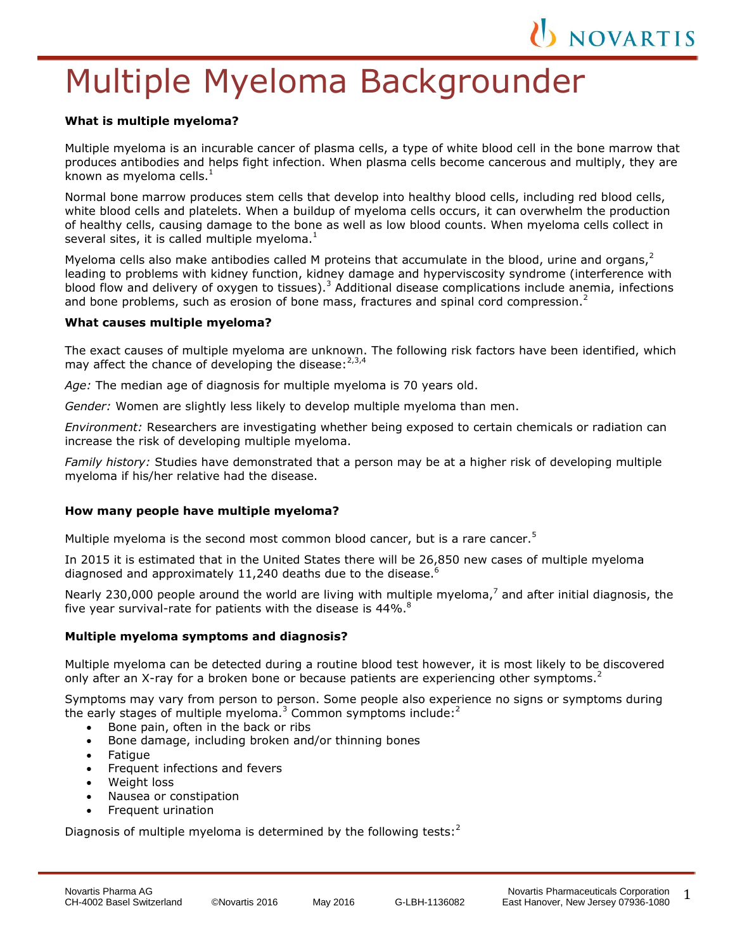# Multiple Myeloma Backgrounder

#### **What is multiple myeloma?**

l,

Multiple myeloma is an incurable cancer of plasma cells, a type of white blood cell in the bone marrow that produces antibodies and helps fight infection. When plasma cells become cancerous and multiply, they are known as myeloma cells. $<sup>1</sup>$ </sup>

Normal bone marrow produces stem cells that develop into healthy blood cells, including red blood cells, white blood cells and platelets. When a buildup of myeloma cells occurs, it can overwhelm the production of healthy cells, causing damage to the bone as well as low blood counts. When myeloma cells collect in several sites, it is called multiple myeloma. $<sup>1</sup>$ </sup>

Myeloma cells also make antibodies called M proteins that accumulate in the blood, urine and organs, $^2$ leading to problems with kidney function, kidney damage and hyperviscosity syndrome (interference with blood flow and delivery of oxygen to tissues).<sup>3</sup> Additional disease complications include anemia, infections and bone problems, such as erosion of bone mass, fractures and spinal cord compression.<sup>2</sup>

#### **What causes multiple myeloma?**

The exact causes of multiple myeloma are unknown. The following risk factors have been identified, which may affect the chance of developing the disease:  $2,3,4$ 

*Age:* The median age of diagnosis for multiple myeloma is 70 years old.

*Gender:* Women are slightly less likely to develop multiple myeloma than men.

*Environment:* Researchers are investigating whether being exposed to certain chemicals or radiation can increase the risk of developing multiple myeloma.

*Family history:* Studies have demonstrated that a person may be at a higher risk of developing multiple myeloma if his/her relative had the disease.

## **How many people have multiple myeloma?**

Multiple myeloma is the second most common blood cancer, but is a rare cancer.<sup>5</sup>

In 2015 it is estimated that in the United States there will be 26,850 new cases of multiple myeloma diagnosed and approximately 11,240 deaths due to the disease. $6$ 

Nearly 230,000 people around the world are living with multiple myeloma,<sup>7</sup> and after initial diagnosis, the five year survival-rate for patients with the disease is 44%. $^8$ 

## **Multiple myeloma symptoms and diagnosis?**

Multiple myeloma can be detected during a routine blood test however, it is most likely to be discovered only after an X-ray for a broken bone or because patients are experiencing other symptoms.<sup>2</sup>

Symptoms may vary from person to person. Some people also experience no signs or symptoms during the early stages of multiple myeloma.<sup>3</sup> Common symptoms include: $2$ 

- Bone pain, often in the back or ribs
- Bone damage, including broken and/or thinning bones
- Fatique
- Frequent infections and fevers
- Weight loss
- Nausea or constipation
- Frequent urination

Diagnosis of multiple myeloma is determined by the following tests: $<sup>2</sup>$ </sup>